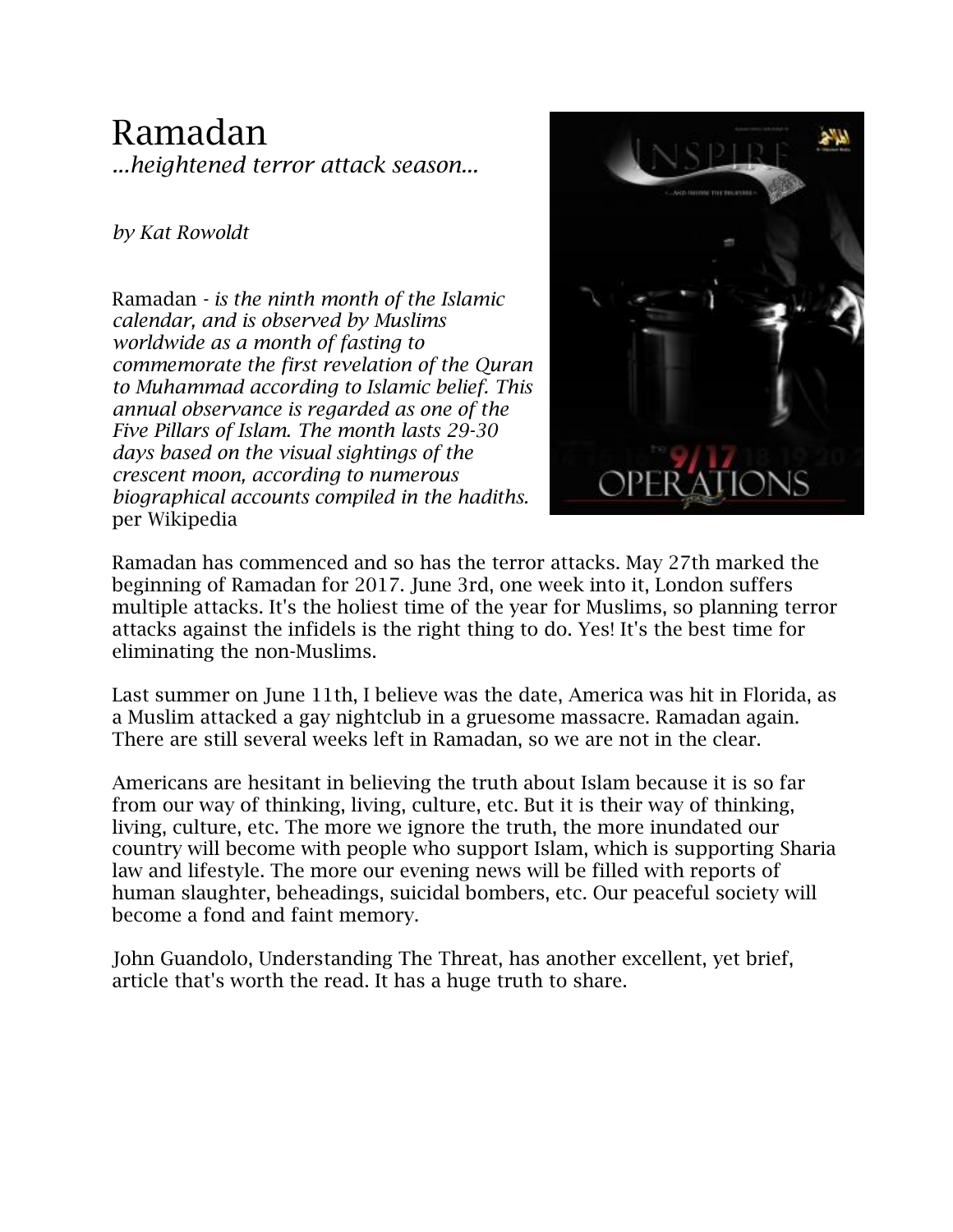## Ramadan *...heightened terror attack season...*

### *by Kat Rowoldt*

Ramadan *- is the ninth month of the Islamic calendar, and is observed by Muslims worldwide as a month of fasting to commemorate the first revelation of the Quran to Muhammad according to Islamic belief. This annual observance is regarded as one of the Five Pillars of Islam. The month lasts 29-30 days based on the visual sightings of the crescent moon, according to numerous biographical accounts compiled in the hadiths.* per Wikipedia



Ramadan has commenced and so has the terror attacks. May 27th marked the beginning of Ramadan for 2017. June 3rd, one week into it, London suffers multiple attacks. It's the holiest time of the year for Muslims, so planning terror attacks against the infidels is the right thing to do. Yes! It's the best time for eliminating the non-Muslims.

Last summer on June 11th, I believe was the date, America was hit in Florida, as a Muslim attacked a gay nightclub in a gruesome massacre. Ramadan again. There are still several weeks left in Ramadan, so we are not in the clear.

Americans are hesitant in believing the truth about Islam because it is so far from our way of thinking, living, culture, etc. But it is their way of thinking, living, culture, etc. The more we ignore the truth, the more inundated our country will become with people who support Islam, which is supporting Sharia law and lifestyle. The more our evening news will be filled with reports of human slaughter, beheadings, suicidal bombers, etc. Our peaceful society will become a fond and faint memory.

John Guandolo, Understanding The Threat, has another excellent, yet brief, article that's worth the read. It has a huge truth to share.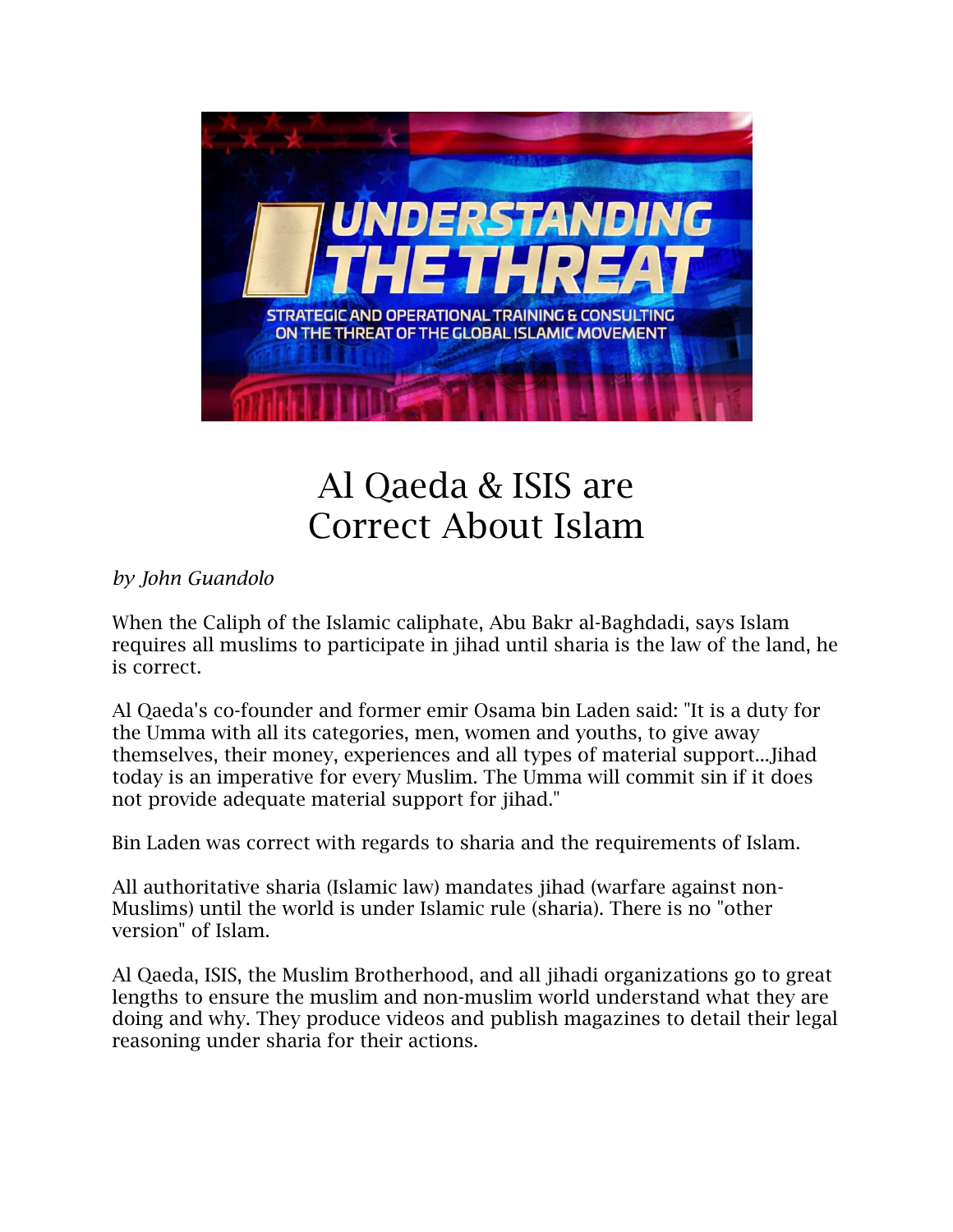

# Al Qaeda & ISIS are Correct About Islam

### *by John Guandolo*

When the Caliph of the Islamic caliphate, Abu Bakr al-Baghdadi, says Islam requires all muslims to participate in jihad until sharia is the law of the land, he is correct.

Al Qaeda's co-founder and former emir Osama bin Laden said: "It is a duty for the Umma with all its categories, men, women and youths, to give away themselves, their money, experiences and all types of material support...Jihad today is an imperative for every Muslim. The Umma will commit sin if it does not provide adequate material support for jihad."

Bin Laden was correct with regards to sharia and the requirements of Islam.

All authoritative sharia (Islamic law) mandates jihad (warfare against non-Muslims) until the world is under Islamic rule (sharia). There is no "other version" of Islam.

Al Qaeda, ISIS, the Muslim Brotherhood, and all jihadi organizations go to great lengths to ensure the muslim and non-muslim world understand what they are doing and why. They produce videos and publish magazines to detail their legal reasoning under sharia for their actions.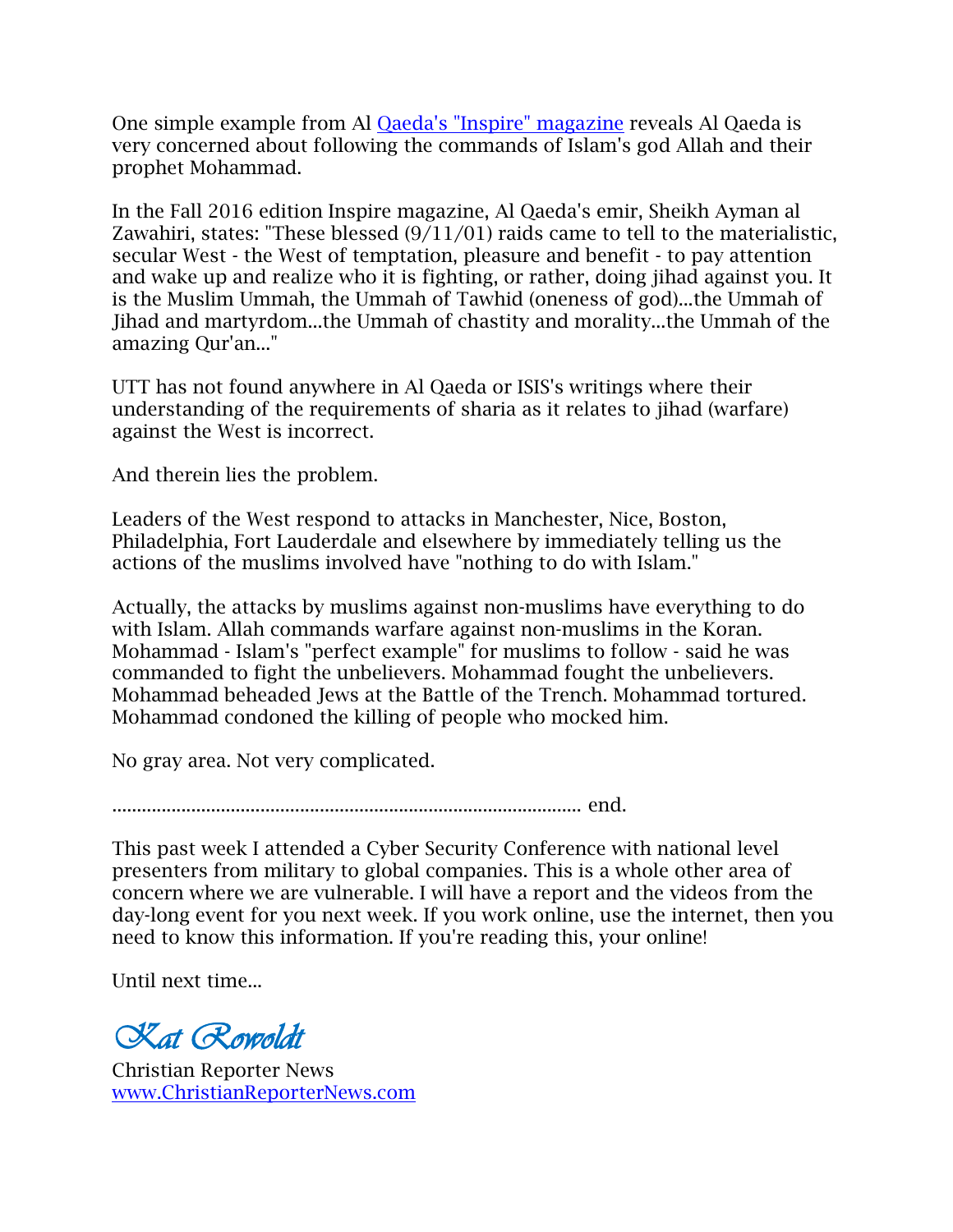One simple example from Al [Qaeda's "Inspire" magazine](http://jihadology.net/category/inspire-magazine/) reveals Al Qaeda is very concerned about following the commands of Islam's god Allah and their prophet Mohammad.

In the Fall 2016 edition Inspire magazine, Al Qaeda's emir, Sheikh Ayman al Zawahiri, states: "These blessed (9/11/01) raids came to tell to the materialistic, secular West - the West of temptation, pleasure and benefit - to pay attention and wake up and realize who it is fighting, or rather, doing jihad against you. It is the Muslim Ummah, the Ummah of Tawhid (oneness of god)...the Ummah of Jihad and martyrdom...the Ummah of chastity and morality...the Ummah of the amazing Qur'an..."

UTT has not found anywhere in Al Qaeda or ISIS's writings where their understanding of the requirements of sharia as it relates to jihad (warfare) against the West is incorrect.

And therein lies the problem.

Leaders of the West respond to attacks in Manchester, Nice, Boston, Philadelphia, Fort Lauderdale and elsewhere by immediately telling us the actions of the muslims involved have "nothing to do with Islam."

Actually, the attacks by muslims against non-muslims have everything to do with Islam. Allah commands warfare against non-muslims in the Koran. Mohammad - Islam's "perfect example" for muslims to follow - said he was commanded to fight the unbelievers. Mohammad fought the unbelievers. Mohammad beheaded Jews at the Battle of the Trench. Mohammad tortured. Mohammad condoned the killing of people who mocked him.

No gray area. Not very complicated.

............................................................................................... end.

This past week I attended a Cyber Security Conference with national level presenters from military to global companies. This is a whole other area of concern where we are vulnerable. I will have a report and the videos from the day-long event for you next week. If you work online, use the internet, then you need to know this information. If you're reading this, your online!

Until next time...

*Kat Rowoldt*

Christian Reporter News www.ChristianReporterNews.com